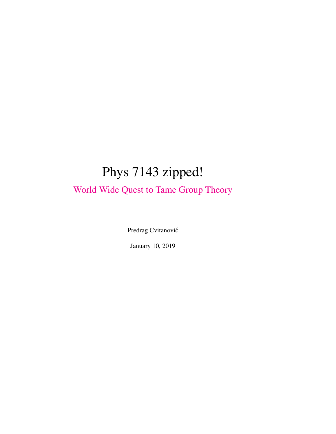# Phys 7143 zipped!

[World Wide Quest to Tame Group Theory](http://birdtracks.eu/courses/PHYS-7143-19/index.html)

Predrag Cvitanović

January 10, 2019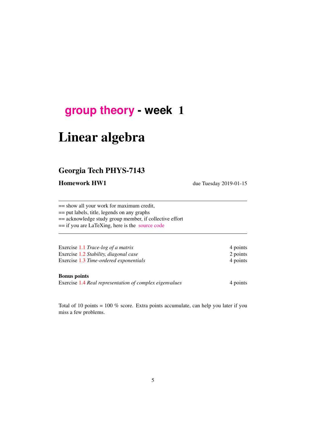# **[group theory](http://birdtracks.eu/courses/PHYS-7143-19/schedule.html) - week** 1

# Linear algebra

## Georgia Tech PHYS-7143

Homework HW1 due Tuesday 2019-01-15

== show all your work for maximum credit,

== put labels, title, legends on any graphs

== acknowledge study group member, if collective effort

== if you are LaTeXing, here is the [source code](http://birdtracks.eu/courses/PHYS-7143-19/exerWeek1.tex)

| Exercise 1.1 Trace-log of a matrix     | 4 points |
|----------------------------------------|----------|
| Exercise 1.2 Stability, diagonal case  | 2 points |
| Exercise 1.3 Time-ordered exponentials | 4 points |

#### Bonus points

Exercise [1.4](#page-17-3) *Real representation of complex eigenvalues* 4 points

Total of 10 points = 100 % score. Extra points accumulate, can help you later if you miss a few problems.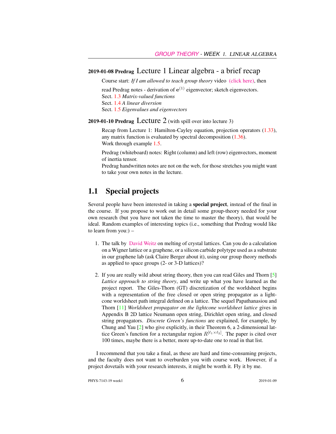#### 2019-01-08 Predrag Lecture 1 Linear algebra - a brief recap

Course start: *If I am allowed to teach group theory* video [\(click here\),](https://www.youtube.com/embed/k7Fakf51jGQ) then

read Predrag notes - derivation of  $e^{(1)}$  eigenvector; sketch eigenvectors. Sect. [1.3](#page-3-0) *Matrix-valued functions* Sect. [1.4](#page-6-0) *A linear diversion* Sect. [1.5](#page-8-0) *Eigenvalues and eigenvectors*

#### 2019-01-10 Predrag Lecture 2 (with spill over into lecture 3)

Recap from Lecture 1: Hamilton-Cayley equation, projection operators [\(1.33\)](#page-9-0), any matrix function is evaluated by spectral decomposition [\(1.36\)](#page-9-1). Work through example [1.5.](#page-13-0)

Predrag (whiteboard) notes: Right (column) and left (row) eigenvectors, moment of inertia tensor.

Predrag handwritten notes are not on the web, for those stretches you might want to take your own notes in the lecture.

## 1.1 Special projects

Several people have been interested in taking a special project, instead of the final in the course. If you propose to work out in detail some group-theory needed for your own research (but you have not taken the time to master the theory), that would be ideal. Random examples of interesting topics (i.e., something that Predrag would like to learn from you:) –

- 1. The talk by [David Weitz](http://www.physics.gatech.edu/event/soft-matter-incubator-smi-distinguished-lecture-series) on melting of crystal lattices. Can you do a calculation on a Wigner lattice or a graphene, or a silicon carbide polytype used as a substrate in our graphene lab (ask Claire Berger about it), using our group theory methods as applied to space groups (2- or 3-D lattices)?
- 2. If you are really wild about string theory, then you can read Giles and Thorn [\[5\]](#page-16-0) *Lattice approach to string theory*, and write up what you have learned as the project report. The Giles-Thorn (GT) discretization of the worldsheet begins with a representation of the free closed or open string propagator as a lightcone worldsheet path integral defined on a lattice. The sequel Papathanasiou and Thorn [\[11\]](#page-17-4) *Worldsheet propagator on the lightcone worldsheet lattice* gives in Appendix B 2D lattice Neumann open string, Dirichlet open string, and closed string propagators. *Discrete Green's functions* are explained, for example, by Chung and Yau [\[2\]](#page-16-1) who give explicitly, in their Theorem 6, a 2-dimensional lattice Green's function for a rectangular region  $R^{[\ell_1 \times \ell_2]}$ . The paper is cited over 100 times, maybe there is a better, more up-to-date one to read in that list.

I recommend that you take a final, as these are hard and time-consuming projects, and the faculty does not want to overburden you with course work. However, if a project dovetails with your research interests, it might be worth it. Fly it by me.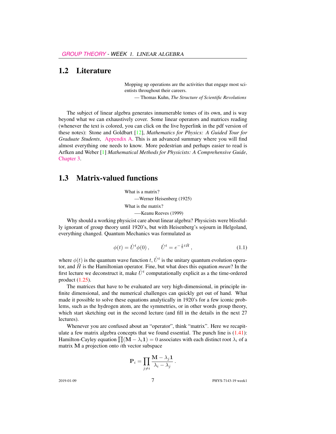### 1.2 Literature

Mopping up operations are the activities that engage most scientists throughout their careers.

— Thomas Kuhn, *The Structure of Scientific Revolutions*

The subject of linear algebra generates innumerable tomes of its own, and is way beyond what we can exhaustively cover. Some linear operators and matrices reading (whenever the text is colored, you can click on the live hyperlink in the pdf version of these notes): Stone and Goldbart [\[12\]](#page-17-5), *Mathematics for Physics: A Guided Tour for Graduate Students*, [Appendix A.](http://birdtracks.eu/courses/PHYS-7143-19/StGoAppA.pdf) This is an advanced summary where you will find almost everything one needs to know. More pedestrian and perhaps easier to read is Arfken and Weber [\[1\]](#page-16-2) *Mathematical Methods for Physicists: A Comprehensive Guide*, [Chapter 3.](http://birdtracks.eu/courses/PHYS-7143-19/ArWe05chap3.pdf)

### <span id="page-3-0"></span>1.3 Matrix-valued functions

What is a matrix? —Werner Heisenberg (1925) What is the matrix? —-Keanu Reeves (1999)

Why should a working physicist care about linear algebra? Physicists were blissfully ignorant of group theory until 1920's, but with Heisenberg's sojourn in Helgoland, everything changed. Quantum Mechanics was formulated as

<span id="page-3-1"></span>
$$
\phi(t) = \hat{U}^t \phi(0), \qquad \hat{U}^t = e^{-\frac{i}{\hbar}t\hat{H}}, \qquad (1.1)
$$

where  $\phi(t)$  is the quantum wave function t,  $\hat{U}^t$  is the unitary quantum evolution operator, and  $\hat{H}$  is the Hamiltonian operator. Fine, but what does this equation *mean*? In the first lecture we deconstruct it, make  $\hat{U}^t$  computationally explicit as a the time-ordered product [\(1.25\)](#page-8-1).

The matrices that have to be evaluated are very high-dimensional, in principle infinite dimensional, and the numerical challenges can quickly get out of hand. What made it possible to solve these equations analytically in 1920's for a few iconic problems, such as the hydrogen atom, are the symmetries, or in other words group theory, which start sketching out in the second lecture (and fill in the details in the next 27 lectures).

Whenever you are confused about an "operator", think "matrix". Here we recapitulate a few matrix algebra concepts that we found essential. The punch line is  $(1.41)$ : Hamilton-Cayley equation  $\prod (\mathbf{M} - \lambda_i \mathbf{1}) = 0$  associates with each distinct root  $\lambda_i$  of a matrix M a projection onto ith vector subspace

$$
\mathbf{P}_i = \prod_{j \neq i} \frac{\mathbf{M} - \lambda_j \mathbf{1}}{\lambda_i - \lambda_j}
$$

.

2019-01-09 7 PHYS-7143-19 week1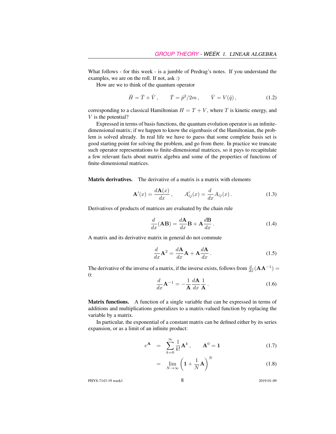What follows - for this week - is a jumble of Predrag's notes. If you understand the examples, we are on the roll. If not, ask :)

How are we to think of the quantum operator

$$
\hat{H} = \hat{T} + \hat{V}, \qquad \hat{T} = \hat{p}^2 / 2m, \qquad \hat{V} = V(\hat{q}),
$$
\n(1.2)

corresponding to a classical Hamiltonian  $H = T + V$ , where T is kinetic energy, and  $V$  is the potential?

Expressed in terms of basis functions, the quantum evolution operator is an infinitedimensional matrix; if we happen to know the eigenbasis of the Hamiltonian, the problem is solved already. In real life we have to guess that some complete basis set is good starting point for solving the problem, and go from there. In practice we truncate such operator representations to finite-dimensional matrices, so it pays to recapitulate a few relevant facts about matrix algebra and some of the properties of functions of finite-dimensional matrices.

Matrix derivatives. The derivative of a matrix is a matrix with elements

$$
\mathbf{A}'(x) = \frac{d\mathbf{A}(x)}{dx}, \qquad A'_{ij}(x) = \frac{d}{dx}A_{ij}(x). \tag{1.3}
$$

Derivatives of products of matrices are evaluated by the chain rule

$$
\frac{d}{dx}(\mathbf{AB}) = \frac{d\mathbf{A}}{dx}\mathbf{B} + \mathbf{A}\frac{d\mathbf{B}}{dx}.
$$
\n(1.4)

A matrix and its derivative matrix in general do not commute

$$
\frac{d}{dx}\mathbf{A}^2 = \frac{d\mathbf{A}}{dx}\mathbf{A} + \mathbf{A}\frac{d\mathbf{A}}{dx}.
$$
\n(1.5)

The derivative of the inverse of a matrix, if the inverse exists, follows from  $\frac{d}{dx}(\mathbf{A}\mathbf{A}^{-1}) =$ 0:  $\overline{1}$ 

$$
\frac{d}{dx}\mathbf{A}^{-1} = -\frac{1}{\mathbf{A}}\frac{d\mathbf{A}}{dx}\frac{1}{\mathbf{A}}.
$$
 (1.6)

Matrix functions. A function of a single variable that can be expressed in terms of additions and multiplications generalizes to a matrix-valued function by replacing the variable by a matrix.

In particular, the exponential of a constant matrix can be defined either by its series expansion, or as a limit of an infinite product:

<span id="page-4-0"></span>
$$
e^{\mathbf{A}} = \sum_{k=0}^{\infty} \frac{1}{k!} \mathbf{A}^{k}, \qquad \mathbf{A}^{0} = \mathbf{1}
$$
 (1.7)

$$
= \lim_{N \to \infty} \left( 1 + \frac{1}{N} \mathbf{A} \right)^N \tag{1.8}
$$

PHYS-7143-19 week1 8 2019-01-09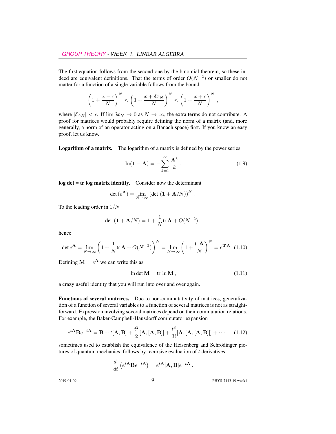The first equation follows from the second one by the binomial theorem, so these indeed are equivalent definitions. That the terms of order  $O(N^{-2})$  or smaller do not matter for a function of a single variable follows from the bound

$$
\left(1+\frac{x-\epsilon}{N}\right)^N < \left(1+\frac{x+\delta x_N}{N}\right)^N < \left(1+\frac{x+\epsilon}{N}\right)^N,
$$

where  $|\delta x_N| < \epsilon$ . If  $\lim \delta x_N \to 0$  as  $N \to \infty$ , the extra terms do not contribute. A proof for matrices would probably require defining the norm of a matrix (and, more generally, a norm of an operator acting on a Banach space) first. If you know an easy proof, let us know.

Logarithm of a matrix. The logarithm of a matrix is defined by the power series

$$
\ln(\mathbf{1} - \mathbf{A}) = -\sum_{k=1}^{\infty} \frac{\mathbf{A}^k}{k}.
$$
 (1.9)

log det = tr log matrix identity. Consider now the determinant

$$
\det(e^{\mathbf{A}}) = \lim_{N \to \infty} \left( \det \left( \mathbf{1} + \mathbf{A}/N \right) \right)^N.
$$

To the leading order in  $1/N$ 

$$
\det (1 + A/N) = 1 + \frac{1}{N} tr A + O(N^{-2}).
$$

hence

$$
\det e^{\mathbf{A}} = \lim_{N \to \infty} \left( 1 + \frac{1}{N} \text{tr} \, \mathbf{A} + O(N^{-2}) \right)^N = \lim_{N \to \infty} \left( 1 + \frac{\text{tr} \, \mathbf{A}}{N} \right)^N = e^{\text{tr} \, \mathbf{A}} \tag{1.10}
$$

Defining  $M = e^{A}$  we can write this as

$$
\ln \det \mathbf{M} = \text{tr} \ln \mathbf{M},\tag{1.11}
$$

a crazy useful identity that you will run into over and over again.

Functions of several matrices. Due to non-commutativity of matrices, generalization of a function of several variables to a function of several matrices is not as straightforward. Expression involving several matrices depend on their commutation relations. For example, the Baker-Campbell-Hausdorff commutator expansion

$$
e^{t\mathbf{A}}\mathbf{B}e^{-t\mathbf{A}} = \mathbf{B} + t[\mathbf{A}, \mathbf{B}] + \frac{t^2}{2}[\mathbf{A}, [\mathbf{A}, \mathbf{B}]] + \frac{t^3}{3!}[\mathbf{A}, [\mathbf{A}, [\mathbf{A}, \mathbf{B}]]] + \cdots \quad (1.12)
$$

sometimes used to establish the equivalence of the Heisenberg and Schrödinger pictures of quantum mechanics, follows by recursive evaluation of  $t$  derivatives

$$
\frac{d}{dt}\left(e^{t\mathbf{A}}\mathbf{B}e^{-t\mathbf{A}}\right) = e^{t\mathbf{A}}[\mathbf{A},\mathbf{B}]e^{-t\mathbf{A}}.
$$

2019-01-09 9 PHYS-7143-19 week1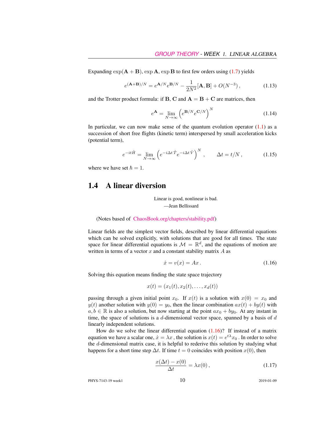Expanding  $\exp(A + B)$ ,  $\exp A$ ,  $\exp B$  to first few orders using [\(1.7\)](#page-4-0) yields

$$
e^{(A+B)/N} = e^{A/N} e^{B/N} - \frac{1}{2N^2} [A, B] + O(N^{-3}), \qquad (1.13)
$$

and the Trotter product formula: if **B**, **C** and  $A = B + C$  are matrices, then

$$
e^{\mathbf{A}} = \lim_{N \to \infty} \left( e^{\mathbf{B}/N} e^{\mathbf{C}/N} \right)^N \tag{1.14}
$$

In particular, we can now make sense of the quantum evolution operator  $(1.1)$  as a succession of short free flights (kinetic term) interspersed by small acceleration kicks (potential term),

$$
e^{-it\hat{H}} = \lim_{N \to \infty} \left( e^{-i\Delta t \hat{T}} e^{-i\Delta t \hat{V}} \right)^N, \qquad \Delta t = t/N, \qquad (1.15)
$$

where we have set  $\hbar = 1$ .

### <span id="page-6-0"></span>1.4 A linear diversion

Linear is good, nonlinear is bad. —Jean Bellissard

(Notes based of [ChaosBook.org/chapters/stability.pdf\)](http://ChaosBook.org/chapters/stability.pdf)

Linear fields are the simplest vector fields, described by linear differential equations which can be solved explicitly, with solutions that are good for all times. The state space for linear differential equations is  $\mathcal{M} = \mathbb{R}^d$ , and the equations of motion are written in terms of a vector  $x$  and a constant stability matrix  $A$  as

<span id="page-6-1"></span>
$$
\dot{x} = v(x) = Ax. \tag{1.16}
$$

Solving this equation means finding the state space trajectory

$$
x(t) = (x_1(t), x_2(t), \dots, x_d(t))
$$

passing through a given initial point  $x_0$ . If  $x(t)$  is a solution with  $x(0) = x_0$  and  $y(t)$  another solution with  $y(0) = y_0$ , then the linear combination  $ax(t) + by(t)$  with  $a, b \in \mathbb{R}$  is also a solution, but now starting at the point  $ax_0 + by_0$ . At any instant in time, the space of solutions is a  $d$ -dimensional vector space, spanned by a basis of  $d$ linearly independent solutions.

How do we solve the linear differential equation  $(1.16)$ ? If instead of a matrix equation we have a scalar one,  $\dot{x} = \lambda x$  , the solution is  $x(t) = e^{t\lambda}x_0$  . In order to solve the d-dimensional matrix case, it is helpful to rederive this solution by studying what happens for a short time step  $\Delta t$ . If time  $t = 0$  coincides with position  $x(0)$ , then

<span id="page-6-2"></span>
$$
\frac{x(\Delta t) - x(0)}{\Delta t} = \lambda x(0),\tag{1.17}
$$

PHYS-7143-19 week1 2019-01-09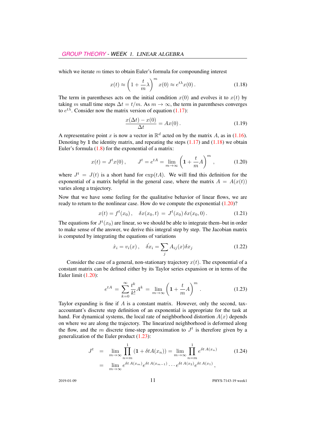which we iterate  $m$  times to obtain Euler's formula for compounding interest

<span id="page-7-0"></span>
$$
x(t) \approx \left(1 + \frac{t}{m}\lambda\right)^m x(0) \approx e^{t\lambda} x(0). \tag{1.18}
$$

The term in parentheses acts on the initial condition  $x(0)$  and evolves it to  $x(t)$  by taking m small time steps  $\Delta t = t/m$ . As  $m \to \infty$ , the term in parentheses converges to  $e^{t\lambda}$ . Consider now the matrix version of equation [\(1.17\)](#page-6-2):

$$
\frac{x(\Delta t) - x(0)}{\Delta t} = Ax(0). \tag{1.19}
$$

A representative point x is now a vector in  $\mathbb{R}^d$  acted on by the matrix A, as in [\(1.16\)](#page-6-1). Denoting by 1 the identity matrix, and repeating the steps  $(1.17)$  and  $(1.18)$  we obtain Euler's formula  $(1.8)$  for the exponential of a matrix:

<span id="page-7-1"></span>
$$
x(t) = J^t x(0)
$$
,  $J^t = e^{tA} = \lim_{m \to \infty} \left( 1 + \frac{t}{m} A \right)^m$ , (1.20)

where  $J^t = J(t)$  is a short hand for  $exp(tA)$ . We will find this definition for the exponential of a matrix helpful in the general case, where the matrix  $A = A(x(t))$ varies along a trajectory.

Now that we have some feeling for the qualitative behavior of linear flows, we are ready to return to the nonlinear case. How do we compute the exponential [\(1.20\)](#page-7-1)?

$$
x(t) = ft(x0), \quad \delta x(x0, t) = Jt(x0) \delta x(x0, 0).
$$
 (1.21)

The equations for  $J^t(x_0)$  are linear, so we should be able to integrate them–but in order to make sense of the answer, we derive this integral step by step. The Jacobian matrix is computed by integrating the equations of variations

$$
\dot{x}_i = v_i(x), \quad \dot{\delta x}_i = \sum_j A_{ij}(x)\delta x_j \tag{1.22}
$$

Consider the case of a general, non-stationary trajectory  $x(t)$ . The exponential of a constant matrix can be defined either by its Taylor series expansion or in terms of the Euler limit [\(1.20\)](#page-7-1):

<span id="page-7-2"></span>
$$
e^{tA} = \sum_{k=0}^{\infty} \frac{t^k}{k!} A^k = \lim_{m \to \infty} \left( 1 + \frac{t}{m} A \right)^m.
$$
 (1.23)

Taylor expanding is fine if  $A$  is a constant matrix. However, only the second, taxaccountant's discrete step definition of an exponential is appropriate for the task at hand. For dynamical systems, the local rate of neighborhood distortion  $A(x)$  depends on where we are along the trajectory. The linearized neighborhood is deformed along the flow, and the m discrete time-step approximation to  $J<sup>t</sup>$  is therefore given by a generalization of the Euler product [\(1.23\)](#page-7-2):

<span id="page-7-3"></span>
$$
J^{t} = \lim_{m \to \infty} \prod_{n=m}^{1} (1 + \delta t A(x_{n})) = \lim_{m \to \infty} \prod_{n=m}^{1} e^{\delta t A(x_{n})}
$$
(1.24)  
= 
$$
\lim_{m \to \infty} e^{\delta t A(x_{m})} e^{\delta t A(x_{m-1})} \cdots e^{\delta t A(x_{2})} e^{\delta t A(x_{1})},
$$

2019-01-09 **11** PHYS-7143-19 week1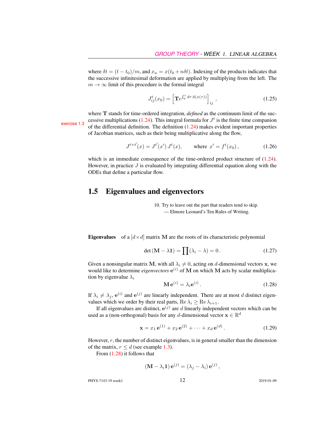where  $\delta t = (t - t_0)/m$ , and  $x_n = x(t_0 + n\delta t)$ . Indexing of the products indicates that the successive infinitesimal deformation are applied by multiplying from the left. The  $m \to \infty$  limit of this procedure is the formal integral

<span id="page-8-1"></span>
$$
J_{ij}^{t}(x_0) = \left[ \mathbf{T}e^{\int_0^t d\tau A(x(\tau))} \right]_{ij}, \qquad (1.25)
$$

where T stands for time-ordered integration, *defined* as the continuum limit of the suc-cessive multiplications [\(1.24\)](#page-7-3). This integral formula for  $J<sup>t</sup>$ exercise [1.3](#page-17-2) cossive indifferential definition. The definition  $(1.24)$  makes evident important properties of Jacobian matrices, such as their being multiplicative along the flow,

$$
J^{t+t'}(x) = J^{t'}(x') J^t(x), \qquad \text{where } x' = f^t(x_0), \tag{1.26}
$$

which is an immediate consequence of the time-ordered product structure of  $(1.24)$ . However, in practice  $J$  is evaluated by integrating differential equation along with the ODEs that define a particular flow.

#### <span id="page-8-0"></span>1.5 Eigenvalues and eigenvectors

10. Try to leave out the part that readers tend to skip. — Elmore Leonard's Ten Rules of Writing.

**Eigenvalues** of a  $\left[ d \times d \right]$  matrix M are the roots of its characteristic polynomial

<span id="page-8-4"></span>
$$
\det\left(\mathbf{M} - \lambda \mathbf{1}\right) = \prod(\lambda_i - \lambda) = 0. \tag{1.27}
$$

Given a nonsingular matrix M, with all  $\lambda_i \neq 0$ , acting on d-dimensional vectors x, we would like to determine *eigenvectors*  $e^{(i)}$  of M on which M acts by scalar multiplication by eigenvalue  $\lambda_i$ 

<span id="page-8-2"></span>
$$
\mathbf{M}\,\mathbf{e}^{(i)} = \lambda_i \mathbf{e}^{(i)}\,. \tag{1.28}
$$

If  $\lambda_i \neq \lambda_j$ ,  $e^{(i)}$  and  $e^{(j)}$  are linearly independent. There are at most d distinct eigenvalues which we order by their real parts,  $\text{Re }\lambda_i \geq \text{Re }\lambda_{i+1}$ .

If all eigenvalues are distinct,  $e^{(j)}$  are d linearly independent vectors which can be used as a (non-orthogonal) basis for any d-dimensional vector  $\mathbf{x} \in \mathbb{R}^d$ 

<span id="page-8-3"></span>
$$
\mathbf{x} = x_1 \,\mathbf{e}^{(1)} + x_2 \,\mathbf{e}^{(2)} + \dots + x_d \,\mathbf{e}^{(d)} \,. \tag{1.29}
$$

However,  $r$ , the number of distinct eigenvalues, is in general smaller than the dimension of the matrix,  $r \leq d$  (see example [1.3\)](#page-11-1).

From [\(1.28\)](#page-8-2) it follows that

$$
(\mathbf{M} - \lambda_i \mathbf{1}) \mathbf{e}^{(j)} = (\lambda_j - \lambda_i) \mathbf{e}^{(j)},
$$

PHYS-7143-19 week1 2019-01-09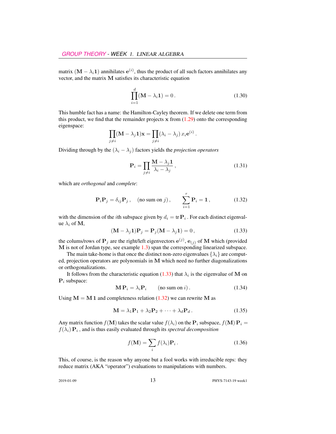matrix  $(M - \lambda_i 1)$  annihilates  $e^{(i)}$ , thus the product of all such factors annihilates any vector, and the matrix M satisfies its characteristic equation

<span id="page-9-3"></span>
$$
\prod_{i=1}^{d} (\mathbf{M} - \lambda_i \mathbf{1}) = 0.
$$
 (1.30)

This humble fact has a name: the Hamilton-Cayley theorem. If we delete one term from this product, we find that the remainder projects  $x$  from  $(1.29)$  onto the corresponding eigenspace:

$$
\prod_{j \neq i} (\mathbf{M} - \lambda_j \mathbf{1}) \mathbf{x} = \prod_{j \neq i} (\lambda_i - \lambda_j) x_i e^{(i)}.
$$

Dividing through by the  $(\lambda_i - \lambda_j)$  factors yields the *projection operators* 

$$
\mathbf{P}_{i} = \prod_{j \neq i} \frac{\mathbf{M} - \lambda_{j} \mathbf{1}}{\lambda_{i} - \lambda_{j}},\tag{1.31}
$$

which are *orthogonal* and *complete*:

<span id="page-9-2"></span>
$$
\mathbf{P}_{i}\mathbf{P}_{j} = \delta_{ij}\mathbf{P}_{j}, \quad \text{(no sum on } j), \qquad \sum_{i=1}^{r} \mathbf{P}_{i} = \mathbf{1}, \tag{1.32}
$$

with the dimension of the *i*th subspace given by  $d_i = \text{tr } \mathbf{P}_i$ . For each distinct eigenvalue  $\lambda_i$  of M,

<span id="page-9-0"></span>
$$
(\mathbf{M} - \lambda_j \mathbf{1}) \mathbf{P}_j = \mathbf{P}_j (\mathbf{M} - \lambda_j \mathbf{1}) = 0, \qquad (1.33)
$$

the colums/rows of  $P_j$  are the right/left eigenvectors  $e^{(j)}$ ,  $e_{(j)}$  of M which (provided M is not of Jordan type, see example [1.3\)](#page-11-1) span the corresponding linearized subspace.

The main take-home is that once the distinct non-zero eigenvalues  $\{\lambda_i\}$  are computed, projection operators are polynomials in M which need no further diagonalizations or orthogonalizations.

It follows from the characteristic equation [\(1.33\)](#page-9-0) that  $\lambda_i$  is the eigenvalue of M on  $P_i$  subspace:

$$
\mathbf{M} \mathbf{P}_i = \lambda_i \mathbf{P}_i \qquad \text{(no sum on } i\text{)}.
$$
 (1.34)

Using  $M = M 1$  and completeness relation [\(1.32\)](#page-9-2) we can rewrite M as

<span id="page-9-4"></span>
$$
\mathbf{M} = \lambda_1 \mathbf{P}_1 + \lambda_2 \mathbf{P}_2 + \dots + \lambda_d \mathbf{P}_d.
$$
 (1.35)

Any matrix function  $f(\mathbf{M})$  takes the scalar value  $f(\lambda_i)$  on the  $\mathbf{P}_i$  subspace,  $f(\mathbf{M}) \mathbf{P}_i =$  $f(\lambda_i) \mathbf{P}_i$ , and is thus easily evaluated through its *spectral decomposition* 

<span id="page-9-1"></span>
$$
f(\mathbf{M}) = \sum_{i} f(\lambda_i) \mathbf{P}_i.
$$
 (1.36)

This, of course, is the reason why anyone but a fool works with irreducible reps: they reduce matrix (AKA "operator") evaluations to manipulations with numbers.

2019-01-09 **13** PHYS-7143-19 week1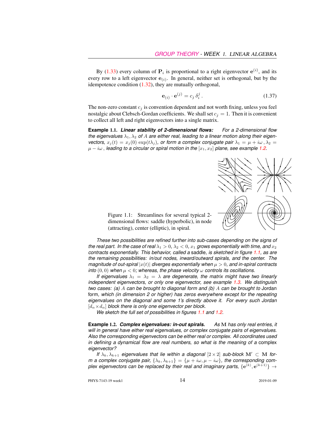By [\(1.33\)](#page-9-0) every column of  $P_i$  is proportional to a right eigenvector  $e^{(i)}$ , and its every row to a left eigenvector  $e_{(i)}$ . In general, neither set is orthogonal, but by the idempotence condition [\(1.32\)](#page-9-2), they are mutually orthogonal,

<span id="page-10-2"></span>
$$
\mathbf{e}_{(i)} \cdot \mathbf{e}^{(j)} = c_j \, \delta_i^j \,. \tag{1.37}
$$

The non-zero constant  $c_j$  is convention dependent and not worth fixing, unless you feel nostalgic about Clebsch-Gordan coefficients. We shall set  $c_j = 1$ . Then it is convenient to collect all left and right eigenvectors into a single matrix.

**Example** 1.1. *Linear stability of 2-dimensional flows: For a 2-dimensional flow* the eigenvalues  $\lambda_1, \lambda_2$  of A are either real, leading to a linear motion along their eigen*vectors,*  $x_i(t) = x_i(0) \exp(t\lambda_i)$ , or form a complex conjugate pair  $\lambda_1 = \mu + i\omega$ ,  $\lambda_2 =$  $\mu - i\omega$ , leading to a circular or spiral motion in the  $[x_1, x_2]$  plane, see example [1.2.](#page-10-0)



<span id="page-10-1"></span>Figure 1.1: Streamlines for several typical 2 dimensional flows: saddle (hyperbolic), in node (attracting), center (elliptic), in spiral.

*These two possibilities are refined further into sub-cases depending on the signs of the real part. In the case of real*  $\lambda_1 > 0$ ,  $\lambda_2 < 0$ ,  $x_1$  *grows exponentially with time, and*  $x_2$ *contracts exponentially. This behavior, called a* saddle*, is sketched in figure [1.1,](#page-10-1) as are the remaining possibilities: in/out nodes, inward/outward spirals, and the center. The magnitude of out-spiral*  $|x(t)|$  *diverges exponentially when*  $\mu > 0$ *, and in-spiral contracts into*  $(0, 0)$  *when*  $\mu < 0$ *; whereas, the phase velocity*  $\omega$  *controls its oscillations.* 

*If eigenvalues*  $\lambda_1 = \lambda_2 = \lambda$  *are degenerate, the matrix might have two linearly independent eigenvectors, or only one eigenvector, see example [1.3.](#page-11-1) We distinguish two cases: (a)* A *can be brought to diagonal form and (b)* A *can be brought to* Jordan form*, which (in dimension 2 or higher) has zeros everywhere except for the repeating eigenvalues on the diagonal and some 1's directly above it. For every such Jordan*  $[d_{\alpha} \times d_{\alpha}]$  *block there is only one eigenvector per block.* 

*We sketch the full set of possibilities in figures [1.1](#page-10-1) and [1.2.](#page-11-2)*

<span id="page-10-0"></span>**Example** 1.2. *Complex eigenvalues: in-out spirals. As* M *has only real entries, it will in general have either real eigenvalues, or complex conjugate pairs of eigenvalues. Also the corresponding eigenvectors can be either real or complex. All coordinates used in defining a dynamical flow are real numbers, so what is the meaning of a* complex *eigenvector?*

*If*  $\lambda_k, \lambda_{k+1}$  *eigenvalues that lie within a diagonal*  $[2 \times 2]$  *sub-block* M'  $\subset$  M *form* a complex conjugate pair,  $\{\lambda_k, \lambda_{k+1}\} = \{\mu + i\omega, \mu - i\omega\}$ , the corresponding complex eigenvectors can be replaced by their real and imaginary parts,  $\{ {\bf e}^{(k)},{\bf e}^{(k+1)} \} \to$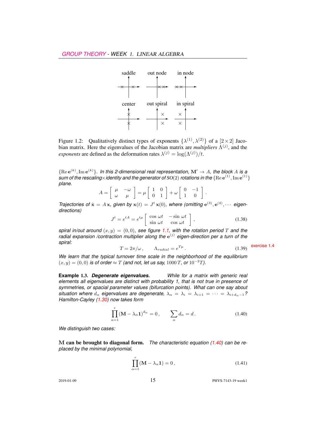

<span id="page-11-2"></span>Figure 1.2: Qualitatively distinct types of exponents  $\{\lambda^{(1)},\lambda^{(2)}\}$  of a  $[2\times 2]$  Jacobian matrix. Here the eigenvalues of the Jacobian matrix are *multipliers*  $\Lambda^{(j)}$ , and the *exponents* are defined as the deformation rates  $\lambda^{(j)} = \log(\Lambda^{(j)})/t$ .

 ${Re}e^{(k)}, Im e^{(k)}\}$ . In this 2-dimensional real representation,  $\mathbf{M}' \to A$ , the block A is a sum of the rescaling $\times$ identity and the generator of SO(2) rotations in the  $\{ \rm{Re}\, e^{(1)}, \rm{Im}\, e^{(1)} \}$ *plane.*

$$
A = \left[ \begin{array}{cc} \mu & -\omega \\ \omega & \mu \end{array} \right] = \mu \left[ \begin{array}{cc} 1 & 0 \\ 0 & 1 \end{array} \right] + \omega \left[ \begin{array}{cc} 0 & -1 \\ 1 & 0 \end{array} \right].
$$

*Trajectories of*  $\dot{\mathbf{x}} = A\mathbf{x}$ , given by  $\mathbf{x}(t) = J^t \mathbf{x}(0)$ , where (omitting  $e^{(3)}$ ,  $e^{(4)}$ ,  $\cdots$  eigen*directions)*

$$
J^{t} = e^{tA} = e^{t\mu} \begin{bmatrix} \cos \omega t & -\sin \omega t \\ \sin \omega t & \cos \omega t \end{bmatrix},
$$
 (1.38)

*spiral in/out around*  $(x, y) = (0, 0)$ *, see figure* [1.1,](#page-10-1) with the rotation period T and the radial expansion /contraction multiplier along the  $e^{(j)}$  eigen-direction per a turn of the

spiral:  
\n
$$
T = 2\pi/\omega, \qquad \Lambda_{radial} = e^{T\mu}.
$$
\n(1.39) exercise 1.4

*We learn that the typical turnover time scale in the neighborhood of the equilibrium*  $(x, y) = (0, 0)$  *is of order*  $\approx T$  *(and not, let us say, 1000 T, or 10<sup>-2</sup>T).* 

<span id="page-11-1"></span>**Example** 1.3. *Degenerate eigenvalues. While for a matrix with generic real elements all eigenvalues are distinct with probability 1, that is not true in presence of symmetries, or spacial parameter values (bifurcation points). What can one say about situation where*  $d_{\alpha}$  *eigenvalues are degenerate,*  $\lambda_{\alpha} = \lambda_i = \lambda_{i+1} = \cdots = \lambda_{i+d_{\alpha}-1}$ ? *Hamilton-Cayley [\(1.30\)](#page-9-3) now takes form*

<span id="page-11-3"></span>
$$
\prod_{\alpha=1}^{r} (\mathbf{M} - \lambda_{\alpha} \mathbf{1})^{d_{\alpha}} = 0, \qquad \sum_{\alpha} d_{\alpha} = d. \tag{1.40}
$$

*We distinguish two cases:*

M can be brought to diagonal form. *The characteristic equation [\(1.40\)](#page-11-3) can be replaced by the minimal polynomial,*

<span id="page-11-0"></span>
$$
\prod_{\alpha=1}^{r} (\mathbf{M} - \lambda_{\alpha} \mathbf{1}) = 0, \qquad (1.41)
$$

2019-01-09 **15** PHYS-7143-19 week1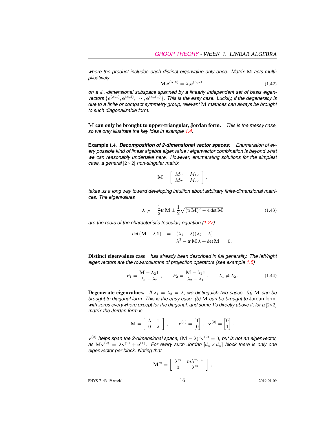*where the product includes each distinct eigenvalue only once. Matrix* M *acts multiplicatively*

$$
\mathbf{M} \,\mathbf{e}^{(\alpha,k)} = \lambda_i \mathbf{e}^{(\alpha,k)},\tag{1.42}
$$

*on a* dα*-dimensional subspace spanned by a linearly independent set of basis eigen*vectors  $\{e^{(\alpha,1)}, e^{(\alpha,2)}, \cdots, e^{(\alpha,d_\alpha)}\}$ . This is the easy case. Luckily, if the degeneracy is *due to a finite or compact symmetry group, relevant* M *matrices can always be brought to such diagonalizable form.*

M can only be brought to upper-triangular, Jordan form. *This is the messy case, so we only illustrate the key idea in example [1.4.](#page-12-0)*

<span id="page-12-0"></span>**Example** 1.4. *Decomposition of 2-dimensional vector spaces: Enumeration of every possible kind of linear algebra eigenvalue / eigenvector combination is beyond what we can reasonably undertake here. However, enumerating solutions for the simplest case, a general* [2×2] *non-singular matrix*

$$
\mathbf{M} = \left[ \begin{array}{cc} M_{11} & M_{12} \\ M_{21} & M_{22} \end{array} \right]
$$

*takes us a long way toward developing intuition about arbitrary finite-dimensional matrices. The eigenvalues*

<span id="page-12-1"></span>
$$
\lambda_{1,2} = \frac{1}{2} \text{tr} \, \mathbf{M} \pm \frac{1}{2} \sqrt{(\text{tr} \, \mathbf{M})^2 - 4 \det \mathbf{M}}
$$
 (1.43)

.

*are the roots of the characteristic (secular) equation [\(1.27\)](#page-8-4):*

<span id="page-12-2"></span>
$$
\det (\mathbf{M} - \lambda \mathbf{1}) = (\lambda_1 - \lambda)(\lambda_2 - \lambda)
$$
  
=  $\lambda^2 - \text{tr} \mathbf{M} \lambda + \det \mathbf{M} = 0.$ 

Distinct eigenvalues case *has already been described in full generality. The left/right eigenvectors are the rows/columns of projection operators (see example [1.5\)](#page-13-0)*

$$
P_1 = \frac{\mathbf{M} - \lambda_2 \mathbf{1}}{\lambda_1 - \lambda_2}, \qquad P_2 = \frac{\mathbf{M} - \lambda_1 \mathbf{1}}{\lambda_2 - \lambda_1}, \qquad \lambda_1 \neq \lambda_2. \tag{1.44}
$$

**Degenerate eigenvalues.** *If*  $\lambda_1 = \lambda_2 = \lambda$ , we distinguish two cases: (a) M can be *brought to diagonal form. This is the easy case. (b)* M *can be brought to* Jordan form*, with zeros everywhere except for the diagonal, and some 1's directly above it; for a* [2×2] *matrix the Jordan form is*

$$
\mathbf{M} = \begin{bmatrix} \lambda & 1 \\ 0 & \lambda \end{bmatrix}, \qquad \mathbf{e}^{(1)} = \begin{bmatrix} 1 \\ 0 \end{bmatrix}, \ \mathbf{v}^{(2)} = \begin{bmatrix} 0 \\ 1 \end{bmatrix}.
$$

 ${\bf v}^{(2)}$  helps span the 2-dimensional space,  $({\bf M}-\lambda)^2{\bf v}^{(2)}=0,$  but is not an eigenvector,  $a$ s  $Mv^{(2)} = \lambda v^{(2)} + e^{(1)}$ . For every such Jordan  $[d_\alpha \times d_\alpha]$  block there is only one *eigenvector per block. Noting that*

$$
\mathbf{M}^m = \left[ \begin{array}{cc} \lambda^m & m \lambda^{m-1} \\ 0 & \lambda^m \end{array} \right] \,,
$$

PHYS-7143-19 week1 2019-01-09 2019-01-09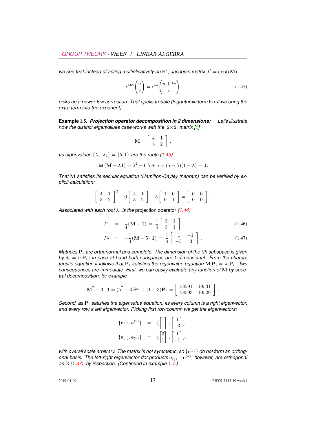we see that instead of acting multiplicatively on  $\mathbb{R}^2$ , Jacobian matrix  $J^t = \exp(t\mathbf{M})$ 

$$
e^{t\mathbf{M}}\begin{pmatrix} u \\ v \end{pmatrix} = e^{t\lambda} \begin{pmatrix} u+tv \\ v \end{pmatrix}
$$
 (1.45)

*picks up a power-low correction. That spells trouble (logarithmic term* ln t *if we bring the extra term into the exponent).*

<span id="page-13-0"></span>**Example** 1.5. *Projection operator decomposition in 2 dimensions: Let's illustrate how the distinct eigenvalues case works with the*  $[2 \times 2]$  *matrix [\[8\]](#page-16-3)* 

$$
\mathbf{M} = \left[ \begin{array}{cc} 4 & 1 \\ 3 & 2 \end{array} \right] \, .
$$

*Its eigenvalues*  $\{\lambda_1, \lambda_2\} = \{5, 1\}$  *are the roots [\(1.43\)](#page-12-1):* 

$$
\det (M - \lambda 1) = \lambda^2 - 6\lambda + 5 = (5 - \lambda)(1 - \lambda) = 0.
$$

*That* M *satisfies its secular equation (Hamilton-Cayley theorem) can be verified by explicit calculation:*

$$
\left[\begin{array}{cc}4 & 1\\3 & 2\end{array}\right]^2 - 6\left[\begin{array}{cc}4 & 1\\3 & 2\end{array}\right] + 5\left[\begin{array}{cc}1 & 0\\0 & 1\end{array}\right] = \left[\begin{array}{cc}0 & 0\\0 & 0\end{array}\right].
$$

*Associated with each root*  $\lambda_i$  *is the projection operator [\(1.44\)](#page-12-2)* 

$$
P_1 = \frac{1}{4}(\mathbf{M} - \mathbf{1}) = \frac{1}{4} \begin{bmatrix} 3 & 1 \\ 3 & 1 \end{bmatrix}
$$
 (1.46)

$$
P_2 = -\frac{1}{4}(\mathbf{M} - 5 \cdot \mathbf{1}) = \frac{1}{4} \begin{bmatrix} 1 & -1 \\ -3 & 3 \end{bmatrix} . \tag{1.47}
$$

*Matrices*  $P_i$  *are orthonormal and complete. The dimension of the <i>ith subspace is given* by  $d_i = \text{tr } \mathbf{P}_i$ ; *in case at hand both subspaces are 1-dimensional. From the characteristic equation it follows that*  $P_i$  *satisfies the eigenvalue equation*  $MP_i = \lambda_i P_i$ . *Two consequences are immediate. First, we can easily evaluate any function of* M *by spectral decomposition, for example*

$$
\mathbf{M}^7 - 3 \cdot \mathbf{1} = (5^7 - 3)\mathbf{P}_1 + (1 - 3)\mathbf{P}_2 = \begin{bmatrix} 58591 & 19531 \\ 58593 & 19529 \end{bmatrix}.
$$

*Second, as*  $P_i$  *satisfies the eigenvalue equation, its every column is a right eigenvector, and every row a left eigenvector. Picking first row/column we get the eigenvectors:*

<span id="page-13-1"></span>
$$
\begin{array}{rcl} \{{\bf e}^{(1)},{\bf e}^{(2)}\} &=& \{ \begin{bmatrix} 1 \\ 1 \end{bmatrix}, \begin{bmatrix} 1 \\ -3 \end{bmatrix} \} \\ \{{\bf e}_{(1)},{\bf e}_{(2)}\} &=& \{ \begin{bmatrix} 3 \\ 1 \end{bmatrix}, \begin{bmatrix} 1 \\ -1 \end{bmatrix} \}, \end{array}
$$

with overall scale arbitrary. The matrix is not symmetric, so  $\{e^{(j)}\}$  do not form an orthogonal basis. The left-right eigenvector dot products  $e_{(j)} \cdot e^{(k)}$ , however, are orthogonal *as in [\(1.37\)](#page-10-2), by inspection. (Continued in example [1.7.](#page-14-0))*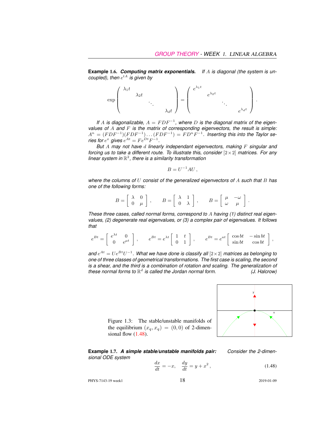**Example** 1.6. *Computing matrix exponentials. If* A *is diagonal (the system is un-* $\mathop{\mathsf{coupled}}\nolimits$ , then  $e^{tA}$  is given by



If A is diagonalizable,  $A = FDF^{-1}$ , where D is the diagonal matrix of the eigen*values of* A *and* F *is the matrix of corresponding eigenvectors, the result is simple:*  $A^n = (FDF^{-1})(FDF^{-1}) \dots (FDF^{-1}) = FD^nF^{-1}.$  Inserting this into the Taylor se*ries for*  $e^x$  gives  $e^{At} = Fe^{Dt}F^{-1}$ .

*But* A *may not have* d *linearly independant eigenvectors, making* F *singular and forcing us to take a different route. To illustrate this, consider* [2×2] *matrices. For any linear system in* R 2 *, there is a similarity transformation*

$$
B = U^{-1}AU,
$$

*where the columns of* U *consist of the generalized eigenvectors of* A *such that* B *has one of the following forms:*

$$
B = \left[ \begin{array}{cc} \lambda & 0 \\ 0 & \mu \end{array} \right] , \qquad B = \left[ \begin{array}{cc} \lambda & 1 \\ 0 & \lambda \end{array} \right] , \qquad B = \left[ \begin{array}{cc} \mu & -\omega \\ \omega & \mu \end{array} \right] .
$$

*These three cases, called normal forms, correspond to* A *having (1) distinct real eigenvalues, (2) degenerate real eigenvalues, or (3) a complex pair of eigenvalues. It follows that*

$$
e^{Bt}=\left[\begin{array}{cc} e^{\lambda t} & 0 \\ 0 & e^{\mu t} \end{array}\right]\,,\qquad e^{Bt}=e^{\lambda t}\left[\begin{array}{cc} 1 & t \\ 0 & 1 \end{array}\right]\,,\qquad e^{Bt}=e^{at}\left[\begin{array}{cc} \cos b t & -\sin b t \\ \sin b t & \cos b t \end{array}\right]\,,
$$

and  $e^{At} = Ue^{Bt}U^{-1}$ . What we have done is classify all  $[2 \times 2]$  matrices as belonging to *one of three classes of geometrical transformations. The first case is scaling, the second is a shear, and the third is a combination of rotation and scaling. The generalization of* these normal forms to  $\mathbb{R}^d$  is called the Jordan normal form.  $($ *J. Halcrow*)



<span id="page-14-1"></span>Figure 1.3: The stable/unstable manifolds of the equilibrium  $(x_q, x_q) = (0, 0)$  of 2-dimensional flow  $(1.48)$ .

<span id="page-14-0"></span>**Example** 1.7. *A simple stable/unstable manifolds pair: Consider the 2-dimensional ODE system*

$$
\frac{dx}{dt} = -x, \quad \frac{dy}{dt} = y + x^2,
$$
\n(1.48)

PHYS-7143-19 week1 2019-01-09 2019-01-09

$$
^{-1}
$$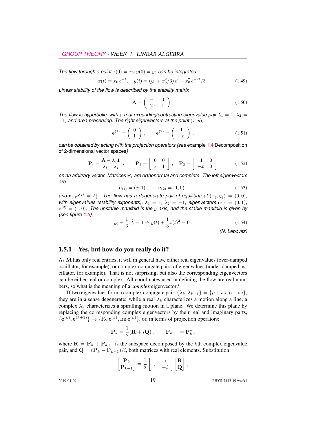*The flow through a point*  $x(0) = x_0, y(0) = y_0$  *can be integrated* 

$$
x(t) = x_0 e^{-t}, \quad y(t) = (y_0 + x_0^2/3) e^t - x_0^2 e^{-2t}/3.
$$
 (1.49)

*Linear stability of the flow is described by the stability matrix*

$$
\mathbf{A} = \left( \begin{array}{cc} -1 & 0 \\ 2x & 1 \end{array} \right) . \tag{1.50}
$$

*The flow is hyperbolic, with a real expanding/contracting eigenvalue pair*  $\lambda_1 = 1$ ,  $\lambda_2 =$  $-1$ *, and area preserving. The right eigenvectors at the point*  $(x, y)$ *,* 

$$
\mathbf{e}^{(1)} = \begin{pmatrix} 0 \\ 1 \end{pmatrix}, \qquad \mathbf{e}^{(2)} = \begin{pmatrix} 1 \\ -x \end{pmatrix}, \tag{1.51}
$$

*can be obtained by acting with the projection operators (see* example [1.4](#page-12-0) Decomposition of 2-dimensional vector spaces*)*

$$
\mathbf{P}_{i} = \frac{\mathbf{A} - \lambda_{j}\mathbf{1}}{\lambda_{i} - \lambda_{j}}: \qquad \mathbf{P}_{1} = \left[ \begin{array}{cc} 0 & 0 \\ x & 1 \end{array} \right], \quad \mathbf{P}_{2} = \left[ \begin{array}{cc} 1 & 0 \\ -x & 0 \end{array} \right] \tag{1.52}
$$

*on an arbitrary vector. Matrices* P<sup>i</sup> *are orthonormal and complete. The left eigenvectors are*

$$
\mathbf{e}_{(1)} = (x, 1), \qquad \mathbf{e}_{(2)} = (1, 0), \tag{1.53}
$$

and  $e_{(i)}e^{(j)} = \delta_i^j$ . The flow has a degenerate pair of equilibria at  $(x_q, y_q) = (0, 0)$ , *with eigenvalues (stability exponents),*  $\lambda_1 = 1$ ,  $\lambda_2 = -1$ , eigenvectors  $e^{(1)} = (0,1)$ ,  $e^{(2)} = (1,0)$ . The unstable manifold is the  $y$  axis, and the stable manifold is given by *(see figure [1.3\)](#page-14-1)*

$$
y_0 + \frac{1}{3}x_0^2 = 0 \Rightarrow y(t) + \frac{1}{3}x(t)^2 = 0.
$$
 (1.54)

*(N. Lebovitz)*

#### <span id="page-15-0"></span>1.5.1 Yes, but how do you really do it?

As M has only real entries, it will in general have either real eigenvalues (over-damped oscillator, for example), or complex conjugate pairs of eigenvalues (under-damped oscillator, for example). That is not surprising, but also the corresponding eigenvectors can be either real or complex. All coordinates used in defining the flow are real numbers, so what is the meaning of a *complex* eigenvector?

If two eigenvalues form a complex conjugate pair,  $\{\lambda_k, \lambda_{k+1}\} = \{\mu + i\omega, \mu - i\omega\},\$ they are in a sense degenerate: while a real  $\lambda_k$  characterizes a motion along a line, a complex  $\lambda_k$  characterizes a spiralling motion in a plane. We determine this plane by replacing the corresponding complex eigenvectors by their real and imaginary parts,  ${e^{(k)}, e^{(k+1)}} \rightarrow {Re e^{(k)}, Im e^{(k)}}$ , or, in terms of projection operators:

$$
\mathbf{P}_k = \frac{1}{2}(\mathbf{R} + i\mathbf{Q}), \qquad \mathbf{P}_{k+1} = \mathbf{P}_k^*,
$$

where  $\mathbf{R} = \mathbf{P}_k + \mathbf{P}_{k+1}$  is the subspace decomposed by the kth complex eigenvalue pair, and  $\mathbf{Q} = (\mathbf{P}_k - \mathbf{P}_{k+1})/i$ , both matrices with real elements. Substitution

$$
\begin{bmatrix} \mathbf{P}_k \\ \mathbf{P}_{k+1} \end{bmatrix} = \frac{1}{2} \begin{bmatrix} 1 & i \\ 1 & -i \end{bmatrix} \begin{bmatrix} \mathbf{R} \\ \mathbf{Q} \end{bmatrix},
$$

2019-01-09 **19** PHYS-7143-19 week1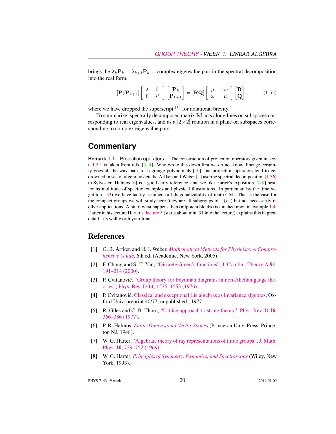brings the  $\lambda_k \mathbf{P}_k + \lambda_{k+1} \mathbf{P}_{k+1}$  complex eigenvalue pair in the spectral decomposition into the real form,

$$
\left[\mathbf{P}_{k}\mathbf{P}_{k+1}\right]\left[\begin{array}{cc} \lambda & 0\\ 0 & \lambda^* \end{array}\right]\left[\begin{array}{c} \mathbf{P}_{k}\\ \mathbf{P}_{k+1} \end{array}\right]=\left[\mathbf{R}\mathbf{Q}\right]\left[\begin{array}{cc} \mu & -\omega\\ \omega & \mu \end{array}\right]\left[\begin{array}{c} \mathbf{R}\\ \mathbf{Q} \end{array}\right],\tag{1.55}
$$

where we have dropped the superscript  $(k)$  for notational brevity.

To summarize, spectrally decomposed matrix M acts along lines on subspaces corresponding to real eigenvalues, and as a  $[2 \times 2]$  rotation in a plane on subspaces corresponding to complex eigenvalue pairs.

### **Commentary**

**Remark** 1.1. Projection operators. The construction of projection operators given in sect. [1.5.1](#page-15-0) is taken from refs. [\[3,](#page-16-4) [4\]](#page-16-5). Who wrote this down first we do not know, lineage certainly goes all the way back to Lagrange polynomials [\[10\]](#page-17-6), but projection operators tend to get drowned in sea of algebraic details. Arfken and Weber [\[1\]](#page-16-2) ascribe spectral decomposition [\(1.36\)](#page-9-1) to Sylvester. Halmos [\[6\]](#page-16-6) is a good early reference - but we like Harter's exposition [\[7–](#page-16-7)[9\]](#page-17-7) best, for its multitude of specific examples and physical illustrations. In particular, by the time we get to  $(1.33)$  we have tacitly assumed full diagonalizability of matrix M. That is the case for the compact groups we will study here (they are all subgroups of  $U(n)$ ) but not necessarily in other applications. A bit of what happens then (nilpotent blocks) is touched upon in example [1.4.](#page-12-0) Harter in his lecture Harter's [lecture 5](https://www.youtube.com/watch?v=jLO7-Pks0QM) (starts about min. 31 into the lecture) explains this in great detail - its well worth your time.

#### References

- <span id="page-16-2"></span>[1] G. B. Arfken and H. J. Weber, *[Mathematical Methods for Physicists: A Compre](http://books.google.com/books?vid=ISBN9780120598762)[hensive Guide](http://books.google.com/books?vid=ISBN9780120598762)*, 6th ed. (Academic, New York, 2005).
- <span id="page-16-1"></span>[2] F. Chung and S.-T. Yau, ["Discrete Green's functions",](http://dx.doi.org/10.1006/jcta.2000.3094) [J. Combin. Theory A](http://dx.doi.org/10.1006/jcta.2000.3094) 91, [191–214 \(2000\).](http://dx.doi.org/10.1006/jcta.2000.3094)
- <span id="page-16-4"></span>[3] P. Cvitanović, ["Group theory for Feynman diagrams in non-Abelian gauge the](http://dx.doi.org/10.1103/PhysRevD.14.1536)[ories",](http://dx.doi.org/10.1103/PhysRevD.14.1536) Phys. Rev. D 14[, 1536–1553 \(1976\).](http://dx.doi.org/10.1103/PhysRevD.14.1536)
- <span id="page-16-5"></span>[4] P. Cvitanović, [Classical and exceptional Lie algebras as invariance algebras,](http://birdtracks.eu/refs/OxfordPrepr.pdf) Oxford Univ. preprint 40/77, unpublished., 1977.
- <span id="page-16-0"></span>[5] R. Giles and C. B. Thorn, ["Lattice approach to string theory",](http://dx.doi.org/10.1103/PhysRevD.16.366) [Phys. Rev. D](http://dx.doi.org/10.1103/PhysRevD.16.366) 16, [366–386 \(1977\).](http://dx.doi.org/10.1103/PhysRevD.16.366)
- <span id="page-16-6"></span>[6] P. R. Halmos, *[Finite-Dimensional Vector Spaces](http://books.google.com/books?vid=ISBN9780691090955)* (Princeton Univ. Press, Princeton NJ, 1948).
- <span id="page-16-7"></span>[7] W. G. Harter, ["Algebraic theory of ray representations of finite groups",](http://dx.doi.org/10.1063/1.1664901) [J. Math.](http://dx.doi.org/10.1063/1.1664901) Phys. 10[, 739–752 \(1969\).](http://dx.doi.org/10.1063/1.1664901)
- <span id="page-16-3"></span>[8] W. G. Harter, *[Principles of Symmetry, Dynamics, and Spectroscopy](http://www.uark.edu/ua/modphys/markup/PSDS_Info.html)* (Wiley, New York, 1993).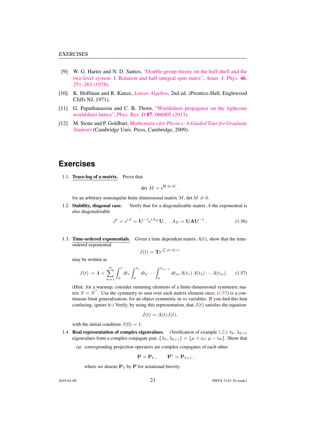- <span id="page-17-7"></span>[9] W. G. Harter and N. D. Santos, ["Double-group theory on the half-shell and the](http://dx.doi.org/10.1119/1.11134) [two-level system. I. Rotation and half-integral spin states",](http://dx.doi.org/10.1119/1.11134) [Amer. J. Phys.](http://dx.doi.org/10.1119/1.11134) 46, [251–263 \(1978\).](http://dx.doi.org/10.1119/1.11134)
- <span id="page-17-6"></span>[10] K. Hoffman and R. Kunze, *[Linear Algebra](http://dx.doi.org/10.2307/3617032)*, 2nd ed. (Prentice-Hall, Englewood Cliffs NJ, 1971).
- <span id="page-17-4"></span>[11] G. Papathanasiou and C. B. Thorn, ["Worldsheet propagator on the lightcone](http://dx.doi.org/10.1103/PhysRevD.87.066005) [worldsheet lattice",](http://dx.doi.org/10.1103/PhysRevD.87.066005) Phys. Rev. D 87[, 066005 \(2013\).](http://dx.doi.org/10.1103/PhysRevD.87.066005)
- <span id="page-17-5"></span>[12] M. Stone and P. Goldbart, *[Mathematics for Physics: A Guided Tour for Graduate](http://dx.doi.org/10.1017/cbo9780511627040) [Students](http://dx.doi.org/10.1017/cbo9780511627040)* (Cambridge Univ. Press, Cambridge, 2009).

## **Exercises**

<span id="page-17-0"></span>1.1. Trace-log of a matrix. Prove that

$$
\det M = e^{\text{tr}\ln M}.
$$

for an arbitrary nonsingular finite dimensional matrix M, det  $M \neq 0$ .

<span id="page-17-1"></span>1.2. Stability, diagonal case. Verify that for a diagonalizable matrix  $A$  the exponential is also diagonalizable

$$
J^{t} = e^{tA} = U^{-1} e^{tA_D} U, \quad A_D = UAU^{-1}.
$$
 (1.56)

<span id="page-17-2"></span>1.3. **Time-ordered exponentials.** Given a time dependent matrix  $A(t)$ , show that the timeordered exponential

$$
J(t) = \mathbf{T}e^{\int_0^t d\tau A(\tau)}
$$

may be written as

<span id="page-17-8"></span>
$$
J(t) = \mathbf{1} + \sum_{m=1}^{\infty} \int_0^t dt_1 \int_0^{t_1} dt_2 \cdots \int_0^{t_{m-1}} dt_m A(t_1) A(t_2) \cdots A(t_m).
$$
 (1.57)

(Hint: for a warmup, consider summing elements of a finite-dimensional symmetric matrix  $S = S^{\top}$ . Use the symmetry to sum over each matrix element once; [\(1.57\)](#page-17-8) is a continuous limit generalization, for an object symmetric in  $m$  variables. If you find this hint confusing, ignore it:) Verify, by using this representation, that  $J(t)$  satisfies the equation

$$
\dot{J}(t) = A(t)J(t),
$$

with the initial condition  $J(0) = 1$ .

- <span id="page-17-3"></span>1.4. Real representation of complex eigenvalues. (Verification of example [1.2.](#page-10-0))  $\lambda_k, \lambda_{k+1}$ eigenvalues form a complex conjugate pair,  $\{\lambda_k, \lambda_{k+1}\} = \{\mu + i\omega, \mu - i\omega\}$ . Show that
	- (a) corresponding projection operators are complex conjugates of each other,

$$
\mathbf{P} = \mathbf{P}_k \,, \qquad \mathbf{P}^* = \mathbf{P}_{k+1} \,,
$$

where we denote  $P_k$  by P for notational brevity.